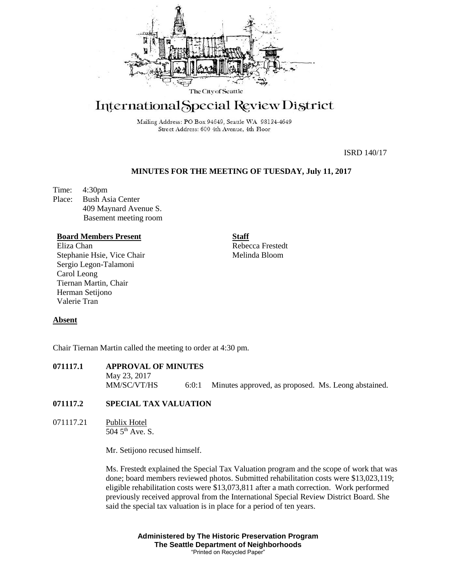

# International Special Review District

Mailing Address: PO Box 94649, Seattle WA 98124-4649 Street Address: 600 4th Avenue, 4th Floor

ISRD 140/17

# **MINUTES FOR THE MEETING OF TUESDAY, July 11, 2017**

Time: 4:30pm Place: Bush Asia Center 409 Maynard Avenue S. Basement meeting room

#### **Board Members Present**

Eliza Chan Stephanie Hsie, Vice Chair Sergio Legon-Talamoni Carol Leong Tiernan Martin, Chair Herman Setijono Valerie Tran

**Staff**

Rebecca Frestedt Melinda Bloom

#### **Absent**

Chair Tiernan Martin called the meeting to order at 4:30 pm.

# **071117.1 APPROVAL OF MINUTES**

May 23, 2017 MM/SC/VT/HS 6:0:1 Minutes approved, as proposed. Ms. Leong abstained.

#### **071117.2 SPECIAL TAX VALUATION**

071117.21 Publix Hotel 504 5th Ave. S.

Mr. Setijono recused himself.

Ms. Frestedt explained the Special Tax Valuation program and the scope of work that was done; board members reviewed photos. Submitted rehabilitation costs were \$13,023,119; eligible rehabilitation costs were \$13,073,811 after a math correction. Work performed previously received approval from the International Special Review District Board. She said the special tax valuation is in place for a period of ten years.

> **Administered by The Historic Preservation Program The Seattle Department of Neighborhoods** "Printed on Recycled Paper"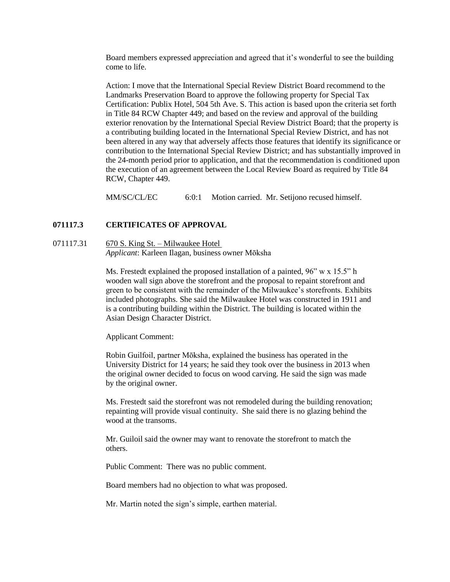Board members expressed appreciation and agreed that it's wonderful to see the building come to life.

Action: I move that the International Special Review District Board recommend to the Landmarks Preservation Board to approve the following property for Special Tax Certification: Publix Hotel, 504 5th Ave. S. This action is based upon the criteria set forth in Title 84 RCW Chapter 449; and based on the review and approval of the building exterior renovation by the International Special Review District Board; that the property is a contributing building located in the International Special Review District, and has not been altered in any way that adversely affects those features that identify its significance or contribution to the International Special Review District; and has substantially improved in the 24-month period prior to application, and that the recommendation is conditioned upon the execution of an agreement between the Local Review Board as required by Title 84 RCW, Chapter 449.

MM/SC/CL/EC 6:0:1 Motion carried. Mr. Setijono recused himself.

# **071117.3 CERTIFICATES OF APPROVAL**

# 071117.31 670 S. King St. – Milwaukee Hotel

*Applicant*: Karleen Ilagan, business owner Mōksha

Ms. Frestedt explained the proposed installation of a painted, 96" w x 15.5" h wooden wall sign above the storefront and the proposal to repaint storefront and green to be consistent with the remainder of the Milwaukee's storefronts. Exhibits included photographs. She said the Milwaukee Hotel was constructed in 1911 and is a contributing building within the District. The building is located within the Asian Design Character District.

Applicant Comment:

Robin Guilfoil, partner Mōksha, explained the business has operated in the University District for 14 years; he said they took over the business in 2013 when the original owner decided to focus on wood carving. He said the sign was made by the original owner.

Ms. Frestedt said the storefront was not remodeled during the building renovation; repainting will provide visual continuity. She said there is no glazing behind the wood at the transoms.

Mr. Guiloil said the owner may want to renovate the storefront to match the others.

Public Comment: There was no public comment.

Board members had no objection to what was proposed.

Mr. Martin noted the sign's simple, earthen material.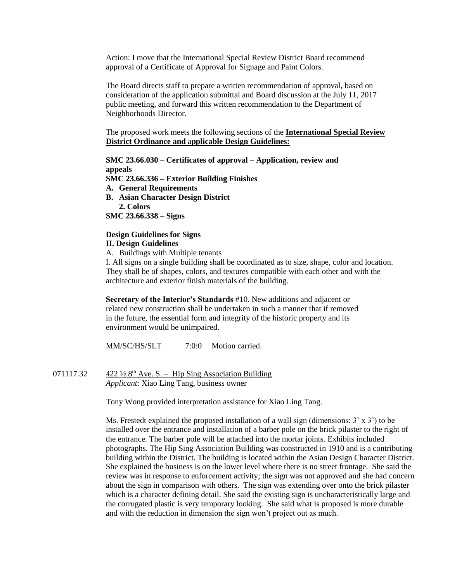Action: I move that the International Special Review District Board recommend approval of a Certificate of Approval for Signage and Paint Colors*.*

The Board directs staff to prepare a written recommendation of approval, based on consideration of the application submittal and Board discussion at the July 11, 2017 public meeting, and forward this written recommendation to the Department of Neighborhoods Director.

The proposed work meets the following sections of the **International Special Review District Ordinance and** a**pplicable Design Guidelines:**

**SMC 23.66.030 – Certificates of approval – Application, review and appeals SMC 23.66.336 – Exterior Building Finishes A. General Requirements B. Asian Character Design District 2. Colors SMC 23.66.338 – Signs**

#### **Design Guidelines for Signs II. Design Guidelines**

A. Buildings with Multiple tenants

I. All signs on a single building shall be coordinated as to size, shape, color and location. They shall be of shapes, colors, and textures compatible with each other and with the architecture and exterior finish materials of the building.

**Secretary of the Interior's Standards** #10. New additions and adjacent or related new construction shall be undertaken in such a manner that if removed in the future, the essential form and integrity of the historic property and its environment would be unimpaired.

MM/SC/HS/SLT 7:0:0 Motion carried.

071117.32  $422\frac{1}{2}8$ <sup>th</sup> Ave. S. – Hip Sing Association Building *Applicant*: Xiao Ling Tang, business owner

Tony Wong provided interpretation assistance for Xiao Ling Tang.

Ms. Frestedt explained the proposed installation of a wall sign (dimensions:  $3' \times 3'$ ) to be installed over the entrance and installation of a barber pole on the brick pilaster to the right of the entrance. The barber pole will be attached into the mortar joints. Exhibits included photographs. The Hip Sing Association Building was constructed in 1910 and is a contributing building within the District. The building is located within the Asian Design Character District. She explained the business is on the lower level where there is no street frontage. She said the review was in response to enforcement activity; the sign was not approved and she had concern about the sign in comparison with others. The sign was extending over onto the brick pilaster which is a character defining detail. She said the existing sign is uncharacteristically large and the corrugated plastic is very temporary looking. She said what is proposed is more durable and with the reduction in dimension the sign won't project out as much.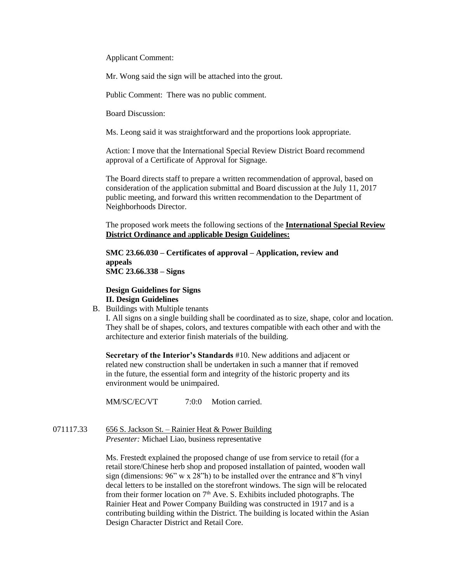Applicant Comment:

Mr. Wong said the sign will be attached into the grout.

Public Comment: There was no public comment.

Board Discussion:

Ms. Leong said it was straightforward and the proportions look appropriate.

Action: I move that the International Special Review District Board recommend approval of a Certificate of Approval for Signage*.*

The Board directs staff to prepare a written recommendation of approval, based on consideration of the application submittal and Board discussion at the July 11, 2017 public meeting, and forward this written recommendation to the Department of Neighborhoods Director.

The proposed work meets the following sections of the **International Special Review District Ordinance and** a**pplicable Design Guidelines:**

**SMC 23.66.030 – Certificates of approval – Application, review and appeals SMC 23.66.338 – Signs**

## **Design Guidelines for Signs II. Design Guidelines**

B. Buildings with Multiple tenants

I. All signs on a single building shall be coordinated as to size, shape, color and location. They shall be of shapes, colors, and textures compatible with each other and with the architecture and exterior finish materials of the building.

**Secretary of the Interior's Standards** #10. New additions and adjacent or related new construction shall be undertaken in such a manner that if removed in the future, the essential form and integrity of the historic property and its environment would be unimpaired.

MM/SC/EC/VT  $7:0:0$  Motion carried.

071117.33 656 S. Jackson St. – Rainier Heat & Power Building *Presenter:* Michael Liao, business representative

> Ms. Frestedt explained the proposed change of use from service to retail (for a retail store/Chinese herb shop and proposed installation of painted, wooden wall sign (dimensions: 96" w x 28"h) to be installed over the entrance and 8"h vinyl decal letters to be installed on the storefront windows. The sign will be relocated from their former location on  $7<sup>th</sup>$  Ave. S. Exhibits included photographs. The Rainier Heat and Power Company Building was constructed in 1917 and is a contributing building within the District. The building is located within the Asian Design Character District and Retail Core.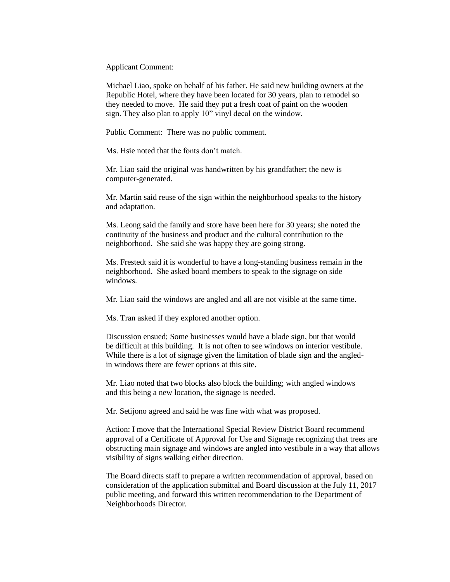Applicant Comment:

Michael Liao, spoke on behalf of his father. He said new building owners at the Republic Hotel, where they have been located for 30 years, plan to remodel so they needed to move. He said they put a fresh coat of paint on the wooden sign. They also plan to apply 10" vinyl decal on the window.

Public Comment: There was no public comment.

Ms. Hsie noted that the fonts don't match.

Mr. Liao said the original was handwritten by his grandfather; the new is computer-generated.

Mr. Martin said reuse of the sign within the neighborhood speaks to the history and adaptation.

Ms. Leong said the family and store have been here for 30 years; she noted the continuity of the business and product and the cultural contribution to the neighborhood. She said she was happy they are going strong.

Ms. Frestedt said it is wonderful to have a long-standing business remain in the neighborhood. She asked board members to speak to the signage on side windows.

Mr. Liao said the windows are angled and all are not visible at the same time.

Ms. Tran asked if they explored another option.

Discussion ensued; Some businesses would have a blade sign, but that would be difficult at this building. It is not often to see windows on interior vestibule. While there is a lot of signage given the limitation of blade sign and the angledin windows there are fewer options at this site.

Mr. Liao noted that two blocks also block the building; with angled windows and this being a new location, the signage is needed.

Mr. Setijono agreed and said he was fine with what was proposed.

Action: I move that the International Special Review District Board recommend approval of a Certificate of Approval for Use and Signage recognizing that trees are obstructing main signage and windows are angled into vestibule in a way that allows visibility of signs walking either direction*.*

The Board directs staff to prepare a written recommendation of approval, based on consideration of the application submittal and Board discussion at the July 11, 2017 public meeting, and forward this written recommendation to the Department of Neighborhoods Director.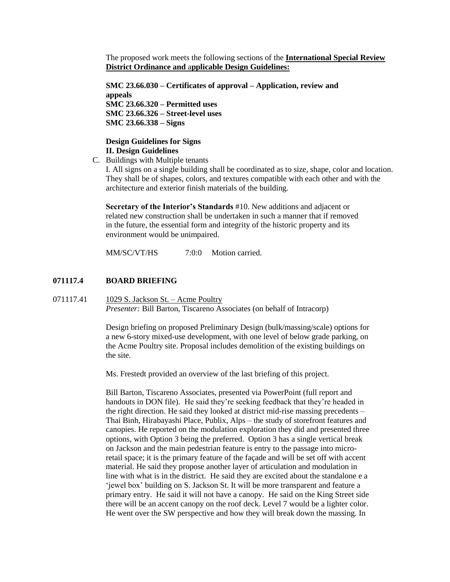The proposed work meets the following sections of the **International Special Review District Ordinance and** a**pplicable Design Guidelines:**

**SMC 23.66.030 – Certificates of approval – Application, review and appeals SMC 23.66.320 – Permitted uses SMC 23.66.326 – Street-level uses SMC 23.66.338 – Signs**

## **Design Guidelines for Signs II. Design Guidelines**

C. Buildings with Multiple tenants

I. All signs on a single building shall be coordinated as to size, shape, color and location. They shall be of shapes, colors, and textures compatible with each other and with the architecture and exterior finish materials of the building.

**Secretary of the Interior's Standards** #10. New additions and adjacent or related new construction shall be undertaken in such a manner that if removed in the future, the essential form and integrity of the historic property and its environment would be unimpaired.

MM/SC/VT/HS  $7:0:0$  Motion carried.

# **071117.4 BOARD BRIEFING**

071117.41 1029 S. Jackson St. – Acme Poultry *Presenter: Bill Barton, Tiscareno Associates (on behalf of Intracorp)* 

> Design briefing on proposed Preliminary Design (bulk/massing/scale) options for a new 6-story mixed-use development, with one level of below grade parking, on the Acme Poultry site. Proposal includes demolition of the existing buildings on the site.

Ms. Frestedt provided an overview of the last briefing of this project.

Bill Barton, Tiscareno Associates, presented via PowerPoint (full report and handouts in DON file). He said they're seeking feedback that they're headed in the right direction. He said they looked at district mid-rise massing precedents – Thai Binh, Hirabayashi Place, Publix, Alps – the study of storefront features and canopies. He reported on the modulation exploration they did and presented three options, with Option 3 being the preferred. Option 3 has a single vertical break on Jackson and the main pedestrian feature is entry to the passage into microretail space; it is the primary feature of the façade and will be set off with accent material. He said they propose another layer of articulation and modulation in line with what is in the district. He said they are excited about the standalone e a 'jewel box' building on S. Jackson St. It will be more transparent and feature a primary entry. He said it will not have a canopy. He said on the King Street side there will be an accent canopy on the roof deck. Level 7 would be a lighter color. He went over the SW perspective and how they will break down the massing. In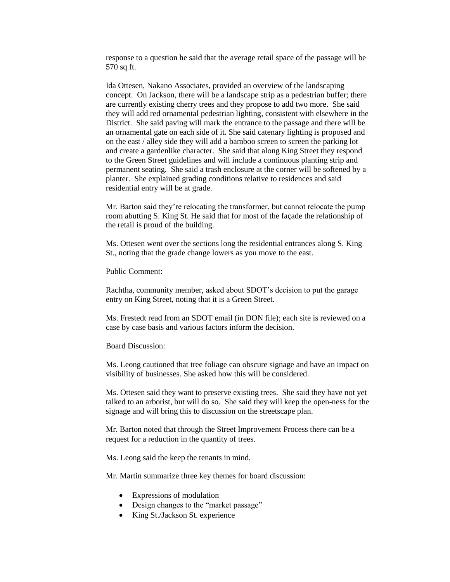response to a question he said that the average retail space of the passage will be 570 sq ft.

Ida Ottesen, Nakano Associates, provided an overview of the landscaping concept. On Jackson, there will be a landscape strip as a pedestrian buffer; there are currently existing cherry trees and they propose to add two more. She said they will add red ornamental pedestrian lighting, consistent with elsewhere in the District. She said paving will mark the entrance to the passage and there will be an ornamental gate on each side of it. She said catenary lighting is proposed and on the east / alley side they will add a bamboo screen to screen the parking lot and create a gardenlike character. She said that along King Street they respond to the Green Street guidelines and will include a continuous planting strip and permanent seating. She said a trash enclosure at the corner will be softened by a planter. She explained grading conditions relative to residences and said residential entry will be at grade.

Mr. Barton said they're relocating the transformer, but cannot relocate the pump room abutting S. King St. He said that for most of the façade the relationship of the retail is proud of the building.

Ms. Ottesen went over the sections long the residential entrances along S. King St., noting that the grade change lowers as you move to the east.

Public Comment:

Rachtha, community member, asked about SDOT's decision to put the garage entry on King Street, noting that it is a Green Street.

Ms. Frestedt read from an SDOT email (in DON file); each site is reviewed on a case by case basis and various factors inform the decision.

Board Discussion:

Ms. Leong cautioned that tree foliage can obscure signage and have an impact on visibility of businesses. She asked how this will be considered.

Ms. Ottesen said they want to preserve existing trees. She said they have not yet talked to an arborist, but will do so. She said they will keep the open-ness for the signage and will bring this to discussion on the streetscape plan.

Mr. Barton noted that through the Street Improvement Process there can be a request for a reduction in the quantity of trees.

Ms. Leong said the keep the tenants in mind.

Mr. Martin summarize three key themes for board discussion:

- Expressions of modulation
- Design changes to the "market passage"
- King St./Jackson St. experience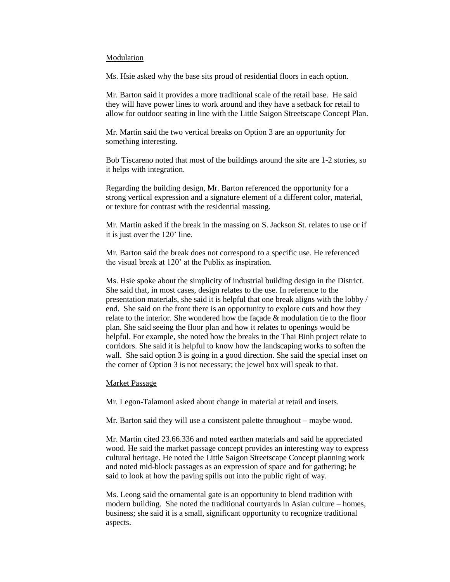#### Modulation

Ms. Hsie asked why the base sits proud of residential floors in each option.

Mr. Barton said it provides a more traditional scale of the retail base. He said they will have power lines to work around and they have a setback for retail to allow for outdoor seating in line with the Little Saigon Streetscape Concept Plan.

Mr. Martin said the two vertical breaks on Option 3 are an opportunity for something interesting.

Bob Tiscareno noted that most of the buildings around the site are 1-2 stories, so it helps with integration.

Regarding the building design, Mr. Barton referenced the opportunity for a strong vertical expression and a signature element of a different color, material, or texture for contrast with the residential massing.

Mr. Martin asked if the break in the massing on S. Jackson St. relates to use or if it is just over the 120' line.

Mr. Barton said the break does not correspond to a specific use. He referenced the visual break at 120' at the Publix as inspiration.

Ms. Hsie spoke about the simplicity of industrial building design in the District. She said that, in most cases, design relates to the use. In reference to the presentation materials, she said it is helpful that one break aligns with the lobby / end. She said on the front there is an opportunity to explore cuts and how they relate to the interior. She wondered how the façade & modulation tie to the floor plan. She said seeing the floor plan and how it relates to openings would be helpful. For example, she noted how the breaks in the Thai Binh project relate to corridors. She said it is helpful to know how the landscaping works to soften the wall. She said option 3 is going in a good direction. She said the special inset on the corner of Option 3 is not necessary; the jewel box will speak to that.

#### Market Passage

Mr. Legon-Talamoni asked about change in material at retail and insets.

Mr. Barton said they will use a consistent palette throughout – maybe wood.

Mr. Martin cited 23.66.336 and noted earthen materials and said he appreciated wood. He said the market passage concept provides an interesting way to express cultural heritage. He noted the Little Saigon Streetscape Concept planning work and noted mid-block passages as an expression of space and for gathering; he said to look at how the paving spills out into the public right of way.

Ms. Leong said the ornamental gate is an opportunity to blend tradition with modern building. She noted the traditional courtyards in Asian culture – homes, business; she said it is a small, significant opportunity to recognize traditional aspects.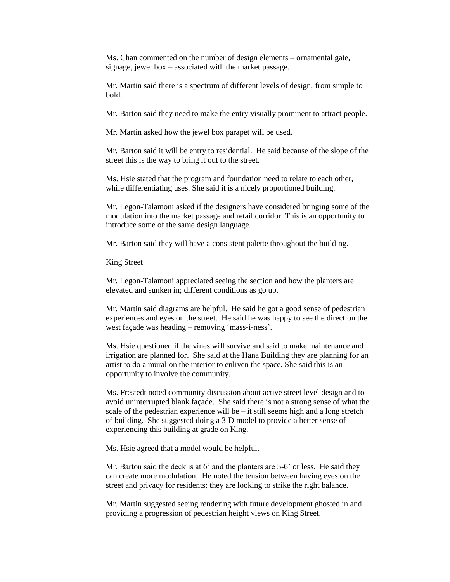Ms. Chan commented on the number of design elements – ornamental gate, signage, jewel box – associated with the market passage.

Mr. Martin said there is a spectrum of different levels of design, from simple to bold.

Mr. Barton said they need to make the entry visually prominent to attract people.

Mr. Martin asked how the jewel box parapet will be used.

Mr. Barton said it will be entry to residential. He said because of the slope of the street this is the way to bring it out to the street.

Ms. Hsie stated that the program and foundation need to relate to each other, while differentiating uses. She said it is a nicely proportioned building.

Mr. Legon-Talamoni asked if the designers have considered bringing some of the modulation into the market passage and retail corridor. This is an opportunity to introduce some of the same design language.

Mr. Barton said they will have a consistent palette throughout the building.

King Street

Mr. Legon-Talamoni appreciated seeing the section and how the planters are elevated and sunken in; different conditions as go up.

Mr. Martin said diagrams are helpful. He said he got a good sense of pedestrian experiences and eyes on the street. He said he was happy to see the direction the west façade was heading – removing 'mass-i-ness'.

Ms. Hsie questioned if the vines will survive and said to make maintenance and irrigation are planned for. She said at the Hana Building they are planning for an artist to do a mural on the interior to enliven the space. She said this is an opportunity to involve the community.

Ms. Frestedt noted community discussion about active street level design and to avoid uninterrupted blank façade. She said there is not a strong sense of what the scale of the pedestrian experience will be – it still seems high and a long stretch of building. She suggested doing a 3-D model to provide a better sense of experiencing this building at grade on King.

Ms. Hsie agreed that a model would be helpful.

Mr. Barton said the deck is at 6' and the planters are 5-6' or less. He said they can create more modulation. He noted the tension between having eyes on the street and privacy for residents; they are looking to strike the right balance.

Mr. Martin suggested seeing rendering with future development ghosted in and providing a progression of pedestrian height views on King Street.